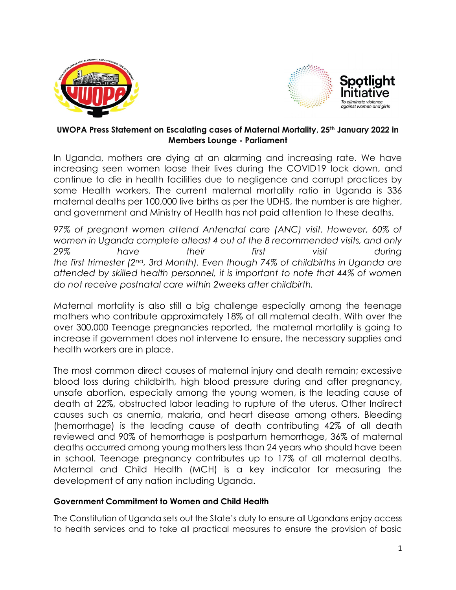



## **UWOPA Press Statement on Escalating cases of Maternal Mortality, 25th January 2022 in Members Lounge - Parliament**

In Uganda, mothers are dying at an alarming and increasing rate. We have increasing seen women loose their lives during the COVID19 lock down, and continue to die in health facilities due to negligence and corrupt practices by some Health workers. The current maternal mortality ratio in Uganda is 336 maternal deaths per 100,000 live births as per the UDHS, the number is are higher, and government and Ministry of Health has not paid attention to these deaths.

*97% of pregnant women attend Antenatal care (ANC) visit. However, 60% of women in Uganda complete atleast 4 out of the 8 recommended visits, and only 29% have their first visit during the first trimester (2nd, 3rd Month). Even though 74% of childbirths in Uganda are attended by skilled health personnel, it is important to note that 44% of women do not receive postnatal care within 2weeks after childbirth.* 

Maternal mortality is also still a big challenge especially among the teenage mothers who contribute approximately 18% of all maternal death. With over the over 300,000 Teenage pregnancies reported, the maternal mortality is going to increase if government does not intervene to ensure, the necessary supplies and health workers are in place.

The most common direct causes of maternal injury and death remain; excessive blood loss during childbirth, high blood pressure during and after pregnancy, unsafe abortion, especially among the young women, is the leading cause of death at 22%, obstructed labor leading to rupture of the uterus. Other Indirect causes such as anemia, malaria, and heart disease among others. Bleeding (hemorrhage) is the leading cause of death contributing 42% of all death reviewed and 90% of hemorrhage is postpartum hemorrhage, 36% of maternal deaths occurred among young mothers less than 24 years who should have been in school. Teenage pregnancy contributes up to 17% of all maternal deaths. Maternal and Child Health (MCH) is a key indicator for measuring the development of any nation including Uganda.

## **Government Commitment to Women and Child Health**

The Constitution of Uganda sets out the State's duty to ensure all Ugandans enjoy access to health services and to take all practical measures to ensure the provision of basic